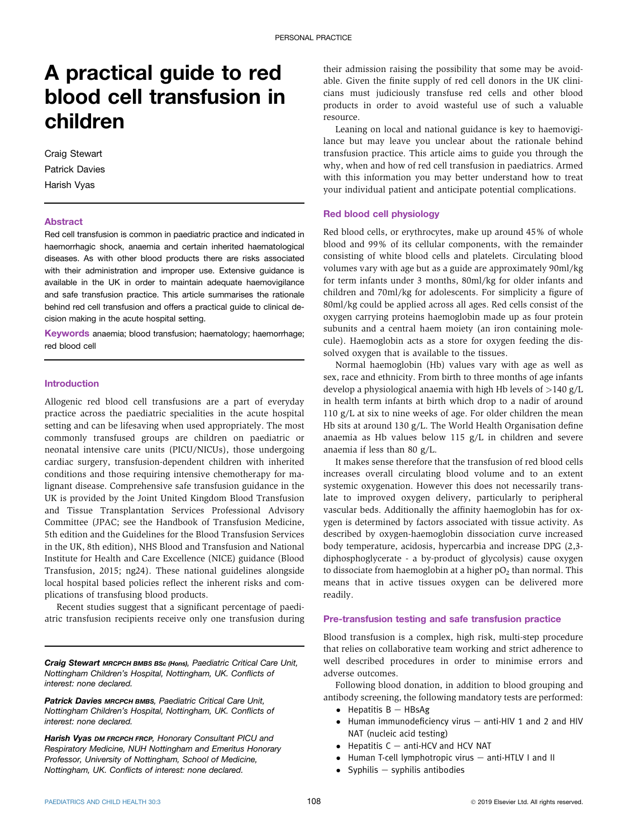# A practical guide to red blood cell transfusion in children

Craig Stewart Patrick Davies Harish Vyas

#### **Abstract**

Red cell transfusion is common in paediatric practice and indicated in haemorrhagic shock, anaemia and certain inherited haematological diseases. As with other blood products there are risks associated with their administration and improper use. Extensive guidance is available in the UK in order to maintain adequate haemovigilance and safe transfusion practice. This article summarises the rationale behind red cell transfusion and offers a practical guide to clinical decision making in the acute hospital setting.

Keywords anaemia; blood transfusion; haematology; haemorrhage; red blood cell

## Introduction

Allogenic red blood cell transfusions are a part of everyday practice across the paediatric specialities in the acute hospital setting and can be lifesaving when used appropriately. The most commonly transfused groups are children on paediatric or neonatal intensive care units (PICU/NICUs), those undergoing cardiac surgery, transfusion-dependent children with inherited conditions and those requiring intensive chemotherapy for malignant disease. Comprehensive safe transfusion guidance in the UK is provided by the Joint United Kingdom Blood Transfusion and Tissue Transplantation Services Professional Advisory Committee (JPAC; see the Handbook of Transfusion Medicine, 5th edition and the Guidelines for the Blood Transfusion Services in the UK, 8th edition), NHS Blood and Transfusion and National Institute for Health and Care Excellence (NICE) guidance (Blood Transfusion, 2015; ng24). These national guidelines alongside local hospital based policies reflect the inherent risks and complications of transfusing blood products.

Recent studies suggest that a significant percentage of paediatric transfusion recipients receive only one transfusion during

Craig Stewart MRCPCH BMBS BSc (Hons), Paediatric Critical Care Unit, Nottingham Children's Hospital, Nottingham, UK. Conflicts of interest: none declared.

Patrick Davies MRCPCH BMBS, Paediatric Critical Care Unit, Nottingham Children's Hospital, Nottingham, UK. Conflicts of interest: none declared.

Harish Vyas DM FRCPCH FRCP, Honorary Consultant PICU and Respiratory Medicine, NUH Nottingham and Emeritus Honorary Professor, University of Nottingham, School of Medicine, Nottingham, UK. Conflicts of interest: none declared.

their admission raising the possibility that some may be avoidable. Given the finite supply of red cell donors in the UK clinicians must judiciously transfuse red cells and other blood products in order to avoid wasteful use of such a valuable resource.

Leaning on local and national guidance is key to haemovigilance but may leave you unclear about the rationale behind transfusion practice. This article aims to guide you through the why, when and how of red cell transfusion in paediatrics. Armed with this information you may better understand how to treat your individual patient and anticipate potential complications.

#### Red blood cell physiology

Red blood cells, or erythrocytes, make up around 45% of whole blood and 99% of its cellular components, with the remainder consisting of white blood cells and platelets. Circulating blood volumes vary with age but as a guide are approximately 90ml/kg for term infants under 3 months, 80ml/kg for older infants and children and 70ml/kg for adolescents. For simplicity a figure of 80ml/kg could be applied across all ages. Red cells consist of the oxygen carrying proteins haemoglobin made up as four protein subunits and a central haem moiety (an iron containing molecule). Haemoglobin acts as a store for oxygen feeding the dissolved oxygen that is available to the tissues.

Normal haemoglobin (Hb) values vary with age as well as sex, race and ethnicity. From birth to three months of age infants develop a physiological anaemia with high Hb levels of  $>140$  g/L in health term infants at birth which drop to a nadir of around 110 g/L at six to nine weeks of age. For older children the mean Hb sits at around 130 g/L. The World Health Organisation define anaemia as Hb values below 115 g/L in children and severe anaemia if less than 80 g/L.

It makes sense therefore that the transfusion of red blood cells increases overall circulating blood volume and to an extent systemic oxygenation. However this does not necessarily translate to improved oxygen delivery, particularly to peripheral vascular beds. Additionally the affinity haemoglobin has for oxygen is determined by factors associated with tissue activity. As described by oxygen-haemoglobin dissociation curve increased body temperature, acidosis, hypercarbia and increase DPG (2,3 diphosphoglycerate - a by-product of glycolysis) cause oxygen to dissociate from haemoglobin at a higher  $pO<sub>2</sub>$  than normal. This means that in active tissues oxygen can be delivered more readily.

#### Pre-transfusion testing and safe transfusion practice

Blood transfusion is a complex, high risk, multi-step procedure that relies on collaborative team working and strict adherence to well described procedures in order to minimise errors and adverse outcomes.

Following blood donation, in addition to blood grouping and antibody screening, the following mandatory tests are performed:

- $\bullet$  Hepatitis B HBsAg
- $\bullet$  Human immunodeficiency virus  $-$  anti-HIV 1 and 2 and HIV NAT (nucleic acid testing)
- $\bullet$  Hepatitis C  $-$  anti-HCV and HCV NAT
- $\bullet$  Human T-cell lymphotropic virus  $-$  anti-HTLV I and II
- $\bullet$  Syphilis  $-$  syphilis antibodies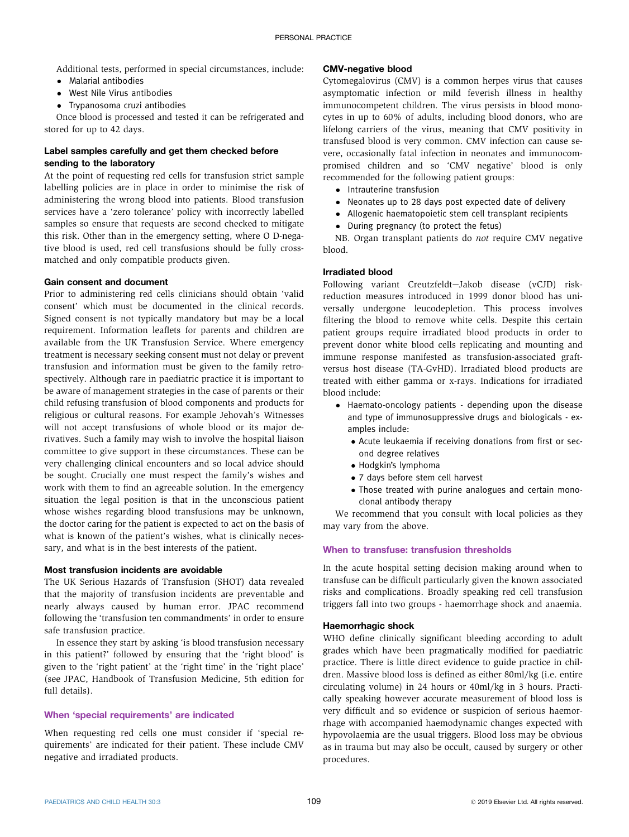Additional tests, performed in special circumstances, include:

- Malarial antibodies
- **West Nile Virus antibodies**
- Trypanosoma cruzi antibodies

Once blood is processed and tested it can be refrigerated and stored for up to 42 days.

# Label samples carefully and get them checked before sending to the laboratory

At the point of requesting red cells for transfusion strict sample labelling policies are in place in order to minimise the risk of administering the wrong blood into patients. Blood transfusion services have a 'zero tolerance' policy with incorrectly labelled samples so ensure that requests are second checked to mitigate this risk. Other than in the emergency setting, where O D-negative blood is used, red cell transfusions should be fully crossmatched and only compatible products given.

# Gain consent and document

Prior to administering red cells clinicians should obtain 'valid consent' which must be documented in the clinical records. Signed consent is not typically mandatory but may be a local requirement. Information leaflets for parents and children are available from the UK Transfusion Service. Where emergency treatment is necessary seeking consent must not delay or prevent transfusion and information must be given to the family retrospectively. Although rare in paediatric practice it is important to be aware of management strategies in the case of parents or their child refusing transfusion of blood components and products for religious or cultural reasons. For example Jehovah's Witnesses will not accept transfusions of whole blood or its major derivatives. Such a family may wish to involve the hospital liaison committee to give support in these circumstances. These can be very challenging clinical encounters and so local advice should be sought. Crucially one must respect the family's wishes and work with them to find an agreeable solution. In the emergency situation the legal position is that in the unconscious patient whose wishes regarding blood transfusions may be unknown, the doctor caring for the patient is expected to act on the basis of what is known of the patient's wishes, what is clinically necessary, and what is in the best interests of the patient.

# Most transfusion incidents are avoidable

The UK Serious Hazards of Transfusion (SHOT) data revealed that the majority of transfusion incidents are preventable and nearly always caused by human error. JPAC recommend following the 'transfusion ten commandments' in order to ensure safe transfusion practice.

In essence they start by asking 'is blood transfusion necessary in this patient?' followed by ensuring that the 'right blood' is given to the 'right patient' at the 'right time' in the 'right place' (see JPAC, Handbook of Transfusion Medicine, 5th edition for full details).

### When 'special requirements' are indicated

When requesting red cells one must consider if 'special requirements' are indicated for their patient. These include CMV negative and irradiated products.

# CMV-negative blood

Cytomegalovirus (CMV) is a common herpes virus that causes asymptomatic infection or mild feverish illness in healthy immunocompetent children. The virus persists in blood monocytes in up to 60% of adults, including blood donors, who are lifelong carriers of the virus, meaning that CMV positivity in transfused blood is very common. CMV infection can cause severe, occasionally fatal infection in neonates and immunocompromised children and so 'CMV negative' blood is only recommended for the following patient groups:

- Intrauterine transfusion
- Neonates up to 28 days post expected date of delivery
- Allogenic haematopoietic stem cell transplant recipients
- During pregnancy (to protect the fetus)

NB. Organ transplant patients do not require CMV negative blood.

# Irradiated blood

Following variant Creutzfeldt-Jakob disease (vCJD) riskreduction measures introduced in 1999 donor blood has universally undergone leucodepletion. This process involves filtering the blood to remove white cells. Despite this certain patient groups require irradiated blood products in order to prevent donor white blood cells replicating and mounting and immune response manifested as transfusion-associated graftversus host disease (TA-GvHD). Irradiated blood products are treated with either gamma or x-rays. Indications for irradiated blood include:

- Haemato-oncology patients depending upon the disease and type of immunosuppressive drugs and biologicals - examples include:
	- Acute leukaemia if receiving donations from first or second degree relatives
	- Hodgkin's lymphoma
	- 7 days before stem cell harvest
	- Those treated with purine analogues and certain monoclonal antibody therapy

We recommend that you consult with local policies as they may vary from the above.

## When to transfuse: transfusion thresholds

In the acute hospital setting decision making around when to transfuse can be difficult particularly given the known associated risks and complications. Broadly speaking red cell transfusion triggers fall into two groups - haemorrhage shock and anaemia.

### Haemorrhagic shock

WHO define clinically significant bleeding according to adult grades which have been pragmatically modified for paediatric practice. There is little direct evidence to guide practice in children. Massive blood loss is defined as either 80ml/kg (i.e. entire circulating volume) in 24 hours or 40ml/kg in 3 hours. Practically speaking however accurate measurement of blood loss is very difficult and so evidence or suspicion of serious haemorrhage with accompanied haemodynamic changes expected with hypovolaemia are the usual triggers. Blood loss may be obvious as in trauma but may also be occult, caused by surgery or other procedures.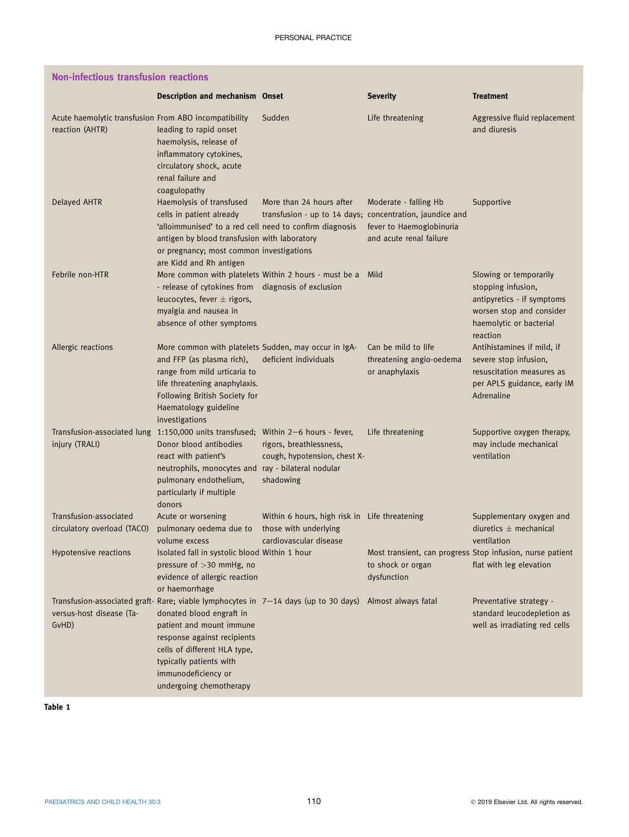<span id="page-2-0"></span>

| <b>Non-infectious transfusion reactions</b>                              |                                                                                                                                                                                                                                                                                         |                                                                                                  |                                                                                               |                                                                                                                                               |  |
|--------------------------------------------------------------------------|-----------------------------------------------------------------------------------------------------------------------------------------------------------------------------------------------------------------------------------------------------------------------------------------|--------------------------------------------------------------------------------------------------|-----------------------------------------------------------------------------------------------|-----------------------------------------------------------------------------------------------------------------------------------------------|--|
|                                                                          | Description and mechanism Onset                                                                                                                                                                                                                                                         |                                                                                                  | <b>Severity</b>                                                                               | <b>Treatment</b>                                                                                                                              |  |
| Acute haemolytic transfusion From ABO incompatibility<br>reaction (AHTR) | leading to rapid onset<br>haemolysis, release of<br>inflammatory cytokines,<br>circulatory shock, acute<br>renal failure and<br>coagulopathy                                                                                                                                            | Sudden                                                                                           | Life threatening                                                                              | Aggressive fluid replacement<br>and diuresis                                                                                                  |  |
| <b>Delayed AHTR</b>                                                      | Haemolysis of transfused<br>cells in patient already<br>'alloimmunised' to a red cell need to confirm diagnosis<br>antigen by blood transfusion with laboratory<br>or pregnancy; most common investigations<br>are Kidd and Rh antigen                                                  | More than 24 hours after<br>transfusion - up to 14 days; concentration, jaundice and             | Moderate - falling Hb<br>fever to Haemoglobinuria<br>and acute renal failure                  | Supportive                                                                                                                                    |  |
| Febrile non-HTR                                                          | More common with platelets Within 2 hours - must be a Mild<br>- release of cytokines from diagnosis of exclusion<br>leucocytes, fever $\pm$ rigors,<br>myalgia and nausea in<br>absence of other symptoms                                                                               |                                                                                                  |                                                                                               | Slowing or temporarily<br>stopping infusion,<br>antipyretics - if symptoms<br>worsen stop and consider<br>haemolytic or bacterial<br>reaction |  |
| Allergic reactions                                                       | More common with platelets Sudden, may occur in IgA-<br>and FFP (as plasma rich),<br>range from mild urticaria to<br>life threatening anaphylaxis.<br>Following British Society for<br>Haematology guideline<br>investigations                                                          | deficient individuals                                                                            | Can be mild to life<br>threatening angio-oedema<br>or anaphylaxis                             | Antihistamines if mild, if<br>severe stop infusion,<br>resuscitation measures as<br>per APLS guidance, early IM<br>Adrenaline                 |  |
| injury (TRALI)                                                           | Transfusion-associated lung 1:150,000 units transfused; Within 2-6 hours - fever,<br>Donor blood antibodies<br>react with patient's<br>neutrophils, monocytes and ray - bilateral nodular<br>pulmonary endothelium,<br>particularly if multiple<br>donors                               | rigors, breathlessness,<br>cough, hypotension, chest X-<br>shadowing                             | Life threatening                                                                              | Supportive oxygen therapy,<br>may include mechanical<br>ventilation                                                                           |  |
| Transfusion-associated<br>circulatory overload (TACO)                    | Acute or worsening<br>pulmonary oedema due to<br>volume excess                                                                                                                                                                                                                          | Within 6 hours, high risk in Life threatening<br>those with underlying<br>cardiovascular disease |                                                                                               | Supplementary oxygen and<br>diuretics $\pm$ mechanical<br>ventilation                                                                         |  |
| Hypotensive reactions                                                    | Isolated fall in systolic blood Within 1 hour<br>pressure of $>$ 30 mmHg, no<br>evidence of allergic reaction<br>or haemorrhage                                                                                                                                                         |                                                                                                  | Most transient, can progress Stop infusion, nurse patient<br>to shock or organ<br>dysfunction | flat with leg elevation                                                                                                                       |  |
| versus-host disease (Ta-<br>GvHD)                                        | Transfusion-associated graft- Rare; viable lymphocytes in 7-14 days (up to 30 days)<br>donated blood engraft in<br>patient and mount immune<br>response against recipients<br>cells of different HLA type,<br>typically patients with<br>immunodeficiency or<br>undergoing chemotherapy |                                                                                                  | Almost always fatal                                                                           | Preventative strategy -<br>standard leucodepletion as<br>well as irradiating red cells                                                        |  |

Table 1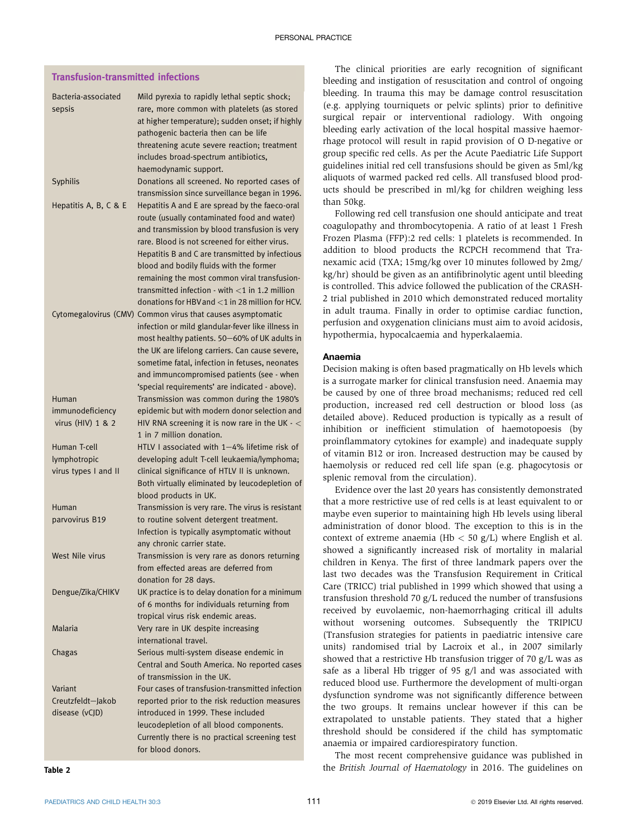# Transfusion-transmitted infections

| Bacteria-associated<br>sepsis         | Mild pyrexia to rapidly lethal septic shock;<br>rare, more common with platelets (as stored<br>at higher temperature); sudden onset; if highly<br>pathogenic bacteria then can be life<br>threatening acute severe reaction; treatment<br>includes broad-spectrum antibiotics,                                                                                                                                                                           |
|---------------------------------------|----------------------------------------------------------------------------------------------------------------------------------------------------------------------------------------------------------------------------------------------------------------------------------------------------------------------------------------------------------------------------------------------------------------------------------------------------------|
| Syphilis                              | haemodynamic support.<br>Donations all screened. No reported cases of<br>transmission since surveillance began in 1996.                                                                                                                                                                                                                                                                                                                                  |
| Hepatitis A, B, C & E                 | Hepatitis A and E are spread by the faeco-oral<br>route (usually contaminated food and water)<br>and transmission by blood transfusion is very<br>rare. Blood is not screened for either virus.<br>Hepatitis B and C are transmitted by infectious<br>blood and bodily fluids with the former<br>remaining the most common viral transfusion-<br>transmitted infection - with $<$ 1 in 1.2 million<br>donations for HBV and $<$ 1 in 28 million for HCV. |
|                                       | Cytomegalovirus (CMV) Common virus that causes asymptomatic<br>infection or mild glandular-fever like illness in<br>most healthy patients. 50-60% of UK adults in<br>the UK are lifelong carriers. Can cause severe,<br>sometime fatal, infection in fetuses, neonates<br>and immuncompromised patients (see - when<br>'special requirements' are indicated - above).                                                                                    |
| Human                                 | Transmission was common during the 1980's                                                                                                                                                                                                                                                                                                                                                                                                                |
| immunodeficiency<br>virus (HIV) 1 & 2 | epidemic but with modern donor selection and<br>HIV RNA screening it is now rare in the UK $\cdot$ $<$                                                                                                                                                                                                                                                                                                                                                   |
|                                       | 1 in 7 million donation.                                                                                                                                                                                                                                                                                                                                                                                                                                 |
| Human T-cell                          | HTLV I associated with 1-4% lifetime risk of                                                                                                                                                                                                                                                                                                                                                                                                             |
| lymphotropic                          | developing adult T-cell leukaemia/lymphoma;                                                                                                                                                                                                                                                                                                                                                                                                              |
| virus types I and II                  | clinical significance of HTLV II is unknown.<br>Both virtually eliminated by leucodepletion of<br>blood products in UK.                                                                                                                                                                                                                                                                                                                                  |
| Human                                 | Transmission is very rare. The virus is resistant                                                                                                                                                                                                                                                                                                                                                                                                        |
| parvovirus B19                        | to routine solvent detergent treatment.<br>Infection is typically asymptomatic without<br>any chronic carrier state.                                                                                                                                                                                                                                                                                                                                     |
| West Nile virus                       | Transmission is very rare as donors returning                                                                                                                                                                                                                                                                                                                                                                                                            |
|                                       | from effected areas are deferred from                                                                                                                                                                                                                                                                                                                                                                                                                    |
|                                       | donation for 28 days.                                                                                                                                                                                                                                                                                                                                                                                                                                    |
| Dengue/Zika/CHIKV                     | UK practice is to delay donation for a minimum<br>of 6 months for individuals returning from<br>tropical virus risk endemic areas.                                                                                                                                                                                                                                                                                                                       |
| Malaria                               | Very rare in UK despite increasing<br>international travel.                                                                                                                                                                                                                                                                                                                                                                                              |
| Chagas                                | Serious multi-system disease endemic in<br>Central and South America. No reported cases<br>of transmission in the UK.                                                                                                                                                                                                                                                                                                                                    |
| Variant                               | Four cases of transfusion-transmitted infection                                                                                                                                                                                                                                                                                                                                                                                                          |
| Creutzfeldt-Jakob                     | reported prior to the risk reduction measures                                                                                                                                                                                                                                                                                                                                                                                                            |
| disease (vCJD)                        | introduced in 1999. These included                                                                                                                                                                                                                                                                                                                                                                                                                       |
|                                       | leucodepletion of all blood components.                                                                                                                                                                                                                                                                                                                                                                                                                  |
|                                       | Currently there is no practical screening test                                                                                                                                                                                                                                                                                                                                                                                                           |
|                                       | for blood donors.                                                                                                                                                                                                                                                                                                                                                                                                                                        |

The clinical priorities are early recognition of significant bleeding and instigation of resuscitation and control of ongoing bleeding. In trauma this may be damage control resuscitation (e.g. applying tourniquets or pelvic splints) prior to definitive surgical repair or interventional radiology. With ongoing bleeding early activation of the local hospital massive haemorrhage protocol will result in rapid provision of O D-negative or group specific red cells. As per the Acute Paediatric Life Support guidelines initial red cell transfusions should be given as 5ml/kg aliquots of warmed packed red cells. All transfused blood products should be prescribed in ml/kg for children weighing less than 50kg.

Following red cell transfusion one should anticipate and treat coagulopathy and thrombocytopenia. A ratio of at least 1 Fresh Frozen Plasma (FFP):2 red cells: 1 platelets is recommended. In addition to blood products the RCPCH recommend that Tranexamic acid (TXA; 15mg/kg over 10 minutes followed by 2mg/ kg/hr) should be given as an antifibrinolytic agent until bleeding is controlled. This advice followed the publication of the CRASH-2 trial published in 2010 which demonstrated reduced mortality in adult trauma. Finally in order to optimise cardiac function, perfusion and oxygenation clinicians must aim to avoid acidosis, hypothermia, hypocalcaemia and hyperkalaemia.

#### Anaemia

Decision making is often based pragmatically on Hb levels which is a surrogate marker for clinical transfusion need. Anaemia may be caused by one of three broad mechanisms; reduced red cell production, increased red cell destruction or blood loss (as detailed above). Reduced production is typically as a result of inhibition or inefficient stimulation of haemotopoesis (by proinflammatory cytokines for example) and inadequate supply of vitamin B12 or iron. Increased destruction may be caused by haemolysis or reduced red cell life span (e.g. phagocytosis or splenic removal from the circulation).

Evidence over the last 20 years has consistently demonstrated that a more restrictive use of red cells is at least equivalent to or maybe even superior to maintaining high Hb levels using liberal administration of donor blood. The exception to this is in the context of extreme anaemia (Hb  $<$  50 g/L) where English et al. showed a significantly increased risk of mortality in malarial children in Kenya. The first of three landmark papers over the last two decades was the Transfusion Requirement in Critical Care (TRICC) trial published in 1999 which showed that using a transfusion threshold 70 g/L reduced the number of transfusions received by euvolaemic, non-haemorrhaging critical ill adults without worsening outcomes. Subsequently the TRIPICU (Transfusion strategies for patients in paediatric intensive care units) randomised trial by Lacroix et al., in 2007 similarly showed that a restrictive Hb transfusion trigger of 70 g/L was as safe as a liberal Hb trigger of 95 g/l and was associated with reduced blood use. Furthermore the development of multi-organ dysfunction syndrome was not significantly difference between the two groups. It remains unclear however if this can be extrapolated to unstable patients. They stated that a higher threshold should be considered if the child has symptomatic anaemia or impaired cardiorespiratory function.

The most recent comprehensive guidance was published in the British Journal of Haematology in 2016. The guidelines on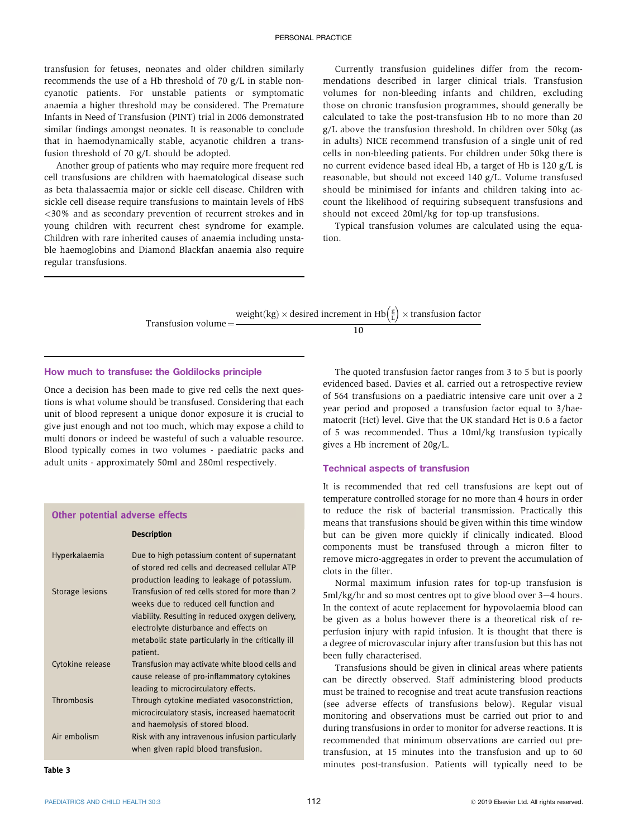transfusion for fetuses, neonates and older children similarly recommends the use of a Hb threshold of 70 g/L in stable noncyanotic patients. For unstable patients or symptomatic anaemia a higher threshold may be considered. The Premature Infants in Need of Transfusion (PINT) trial in 2006 demonstrated similar findings amongst neonates. It is reasonable to conclude that in haemodynamically stable, acyanotic children a transfusion threshold of 70 g/L should be adopted.

Another group of patients who may require more frequent red cell transfusions are children with haematological disease such as beta thalassaemia major or sickle cell disease. Children with sickle cell disease require transfusions to maintain levels of HbS <30% and as secondary prevention of recurrent strokes and in young children with recurrent chest syndrome for example. Children with rare inherited causes of anaemia including unstable haemoglobins and Diamond Blackfan anaemia also require regular transfusions.

Currently transfusion guidelines differ from the recommendations described in larger clinical trials. Transfusion volumes for non-bleeding infants and children, excluding those on chronic transfusion programmes, should generally be calculated to take the post-transfusion Hb to no more than 20 g/L above the transfusion threshold. In children over 50kg (as in adults) NICE recommend transfusion of a single unit of red cells in non-bleeding patients. For children under 50kg there is no current evidence based ideal Hb, a target of Hb is 120 g/L is reasonable, but should not exceed 140 g/L. Volume transfused should be minimised for infants and children taking into account the likelihood of requiring subsequent transfusions and should not exceed 20ml/kg for top-up transfusions.

Typical transfusion volumes are calculated using the equation.

Transfusion volume $=$ weight(kg)  $\times$  desired increment in Hb $\left(\frac{g}{L}\right) \times$  transfusion factor 10

## How much to transfuse: the Goldilocks principle

Description

Once a decision has been made to give red cells the next questions is what volume should be transfused. Considering that each unit of blood represent a unique donor exposure it is crucial to give just enough and not too much, which may expose a child to multi donors or indeed be wasteful of such a valuable resource. Blood typically comes in two volumes - paediatric packs and adult units - approximately 50ml and 280ml respectively.

#### Other potential adverse effects

| Hyperkalaemia    | Due to high potassium content of supernatant<br>of stored red cells and decreased cellular ATP<br>production leading to leakage of potassium.                                                                                                             |
|------------------|-----------------------------------------------------------------------------------------------------------------------------------------------------------------------------------------------------------------------------------------------------------|
| Storage lesions  | Transfusion of red cells stored for more than 2<br>weeks due to reduced cell function and<br>viability. Resulting in reduced oxygen delivery,<br>electrolyte disturbance and effects on<br>metabolic state particularly in the critically ill<br>patient. |
| Cytokine release | Transfusion may activate white blood cells and<br>cause release of pro-inflammatory cytokines<br>leading to microcirculatory effects.                                                                                                                     |
| Thrombosis       | Through cytokine mediated vasoconstriction,<br>microcirculatory stasis, increased haematocrit<br>and haemolysis of stored blood.                                                                                                                          |
| Air embolism     | Risk with any intravenous infusion particularly<br>when given rapid blood transfusion.                                                                                                                                                                    |

The quoted transfusion factor ranges from 3 to 5 but is poorly evidenced based. Davies et al. carried out a retrospective review of 564 transfusions on a paediatric intensive care unit over a 2 year period and proposed a transfusion factor equal to 3/haematocrit (Hct) level. Give that the UK standard Hct is 0.6 a factor of 5 was recommended. Thus a 10ml/kg transfusion typically gives a Hb increment of 20g/L.

#### Technical aspects of transfusion

It is recommended that red cell transfusions are kept out of temperature controlled storage for no more than 4 hours in order to reduce the risk of bacterial transmission. Practically this means that transfusions should be given within this time window but can be given more quickly if clinically indicated. Blood components must be transfused through a micron filter to remove micro-aggregates in order to prevent the accumulation of clots in the filter.

Normal maximum infusion rates for top-up transfusion is  $5ml/kg/hr$  and so most centres opt to give blood over  $3-4$  hours. In the context of acute replacement for hypovolaemia blood can be given as a bolus however there is a theoretical risk of reperfusion injury with rapid infusion. It is thought that there is a degree of microvascular injury after transfusion but this has not been fully characterised.

Transfusions should be given in clinical areas where patients can be directly observed. Staff administering blood products must be trained to recognise and treat acute transfusion reactions (see adverse effects of transfusions below). Regular visual monitoring and observations must be carried out prior to and during transfusions in order to monitor for adverse reactions. It is recommended that minimum observations are carried out pretransfusion, at 15 minutes into the transfusion and up to 60 minutes post-transfusion. Patients will typically need to be